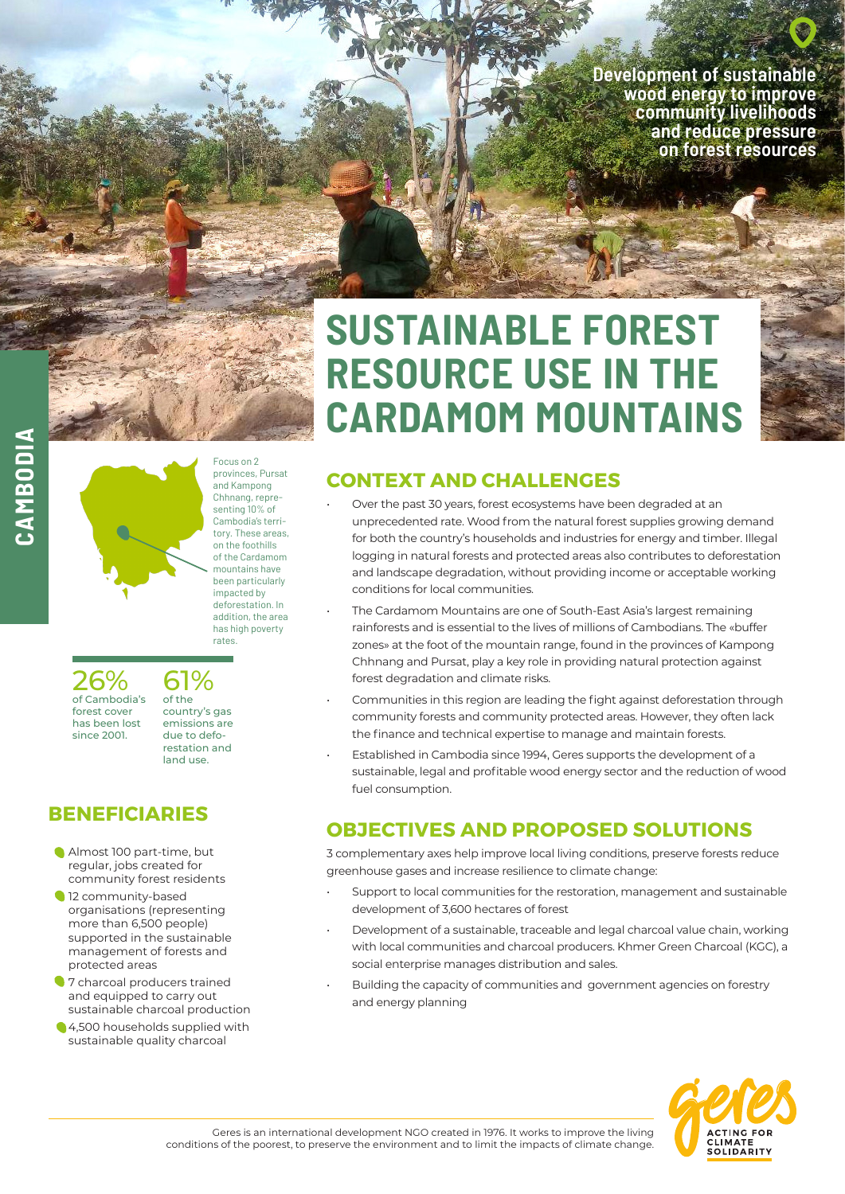**Development of sustainable wood energy to improve community livelihoods and reduce pressure on forest resources** 



**CAMBODIA**CAMBODIA



provinces, Pursat and Kampong Chhnang, representing 10% of Cambodia's territory. These areas, on the foothills of the Cardamom mountains have been particularly impacted by deforestation. In addition, the area has high poverty rates.

Focus on 2

26% of Cambodia's forest cover has been lost since 2001.

of the country's gas emissions are due to deforestation and land use.

61%

# **BENEFICIARIES**

- Almost 100 part-time, but regular, jobs created for community forest residents
- 12 community-based organisations (representing more than 6,500 people) supported in the sustainable management of forests and protected areas
- **1** 7 charcoal producers trained and equipped to carry out sustainable charcoal production
- 4,500 households supplied with sustainable quality charcoal

# **SUSTAINABLE FOREST RESOURCE USE IN THE CARDAMOM MOUNTAINS**

## **CONTEXT AND CHALLENGES**

- Over the past 30 years, forest ecosystems have been degraded at an unprecedented rate. Wood from the natural forest supplies growing demand for both the country's households and industries for energy and timber. Illegal logging in natural forests and protected areas also contributes to deforestation and landscape degradation, without providing income or acceptable working conditions for local communities.
- The Cardamom Mountains are one of South-East Asia's largest remaining rainforests and is essential to the lives of millions of Cambodians. The «buffer zones» at the foot of the mountain range, found in the provinces of Kampong Chhnang and Pursat, play a key role in providing natural protection against forest degradation and climate risks.
- Communities in this region are leading the fight against deforestation through community forests and community protected areas. However, they often lack the finance and technical expertise to manage and maintain forests.
- Established in Cambodia since 1994, Geres supports the development of a sustainable, legal and profitable wood energy sector and the reduction of wood fuel consumption.

# **OBJECTIVES AND PROPOSED SOLUTIONS**

3 complementary axes help improve local living conditions, preserve forests reduce greenhouse gases and increase resilience to climate change:

- Support to local communities for the restoration, management and sustainable development of 3,600 hectares of forest
- Development of a sustainable, traceable and legal charcoal value chain, working with local communities and charcoal producers. Khmer Green Charcoal (KGC), a social enterprise manages distribution and sales.
- Building the capacity of communities and government agencies on forestry and energy planning